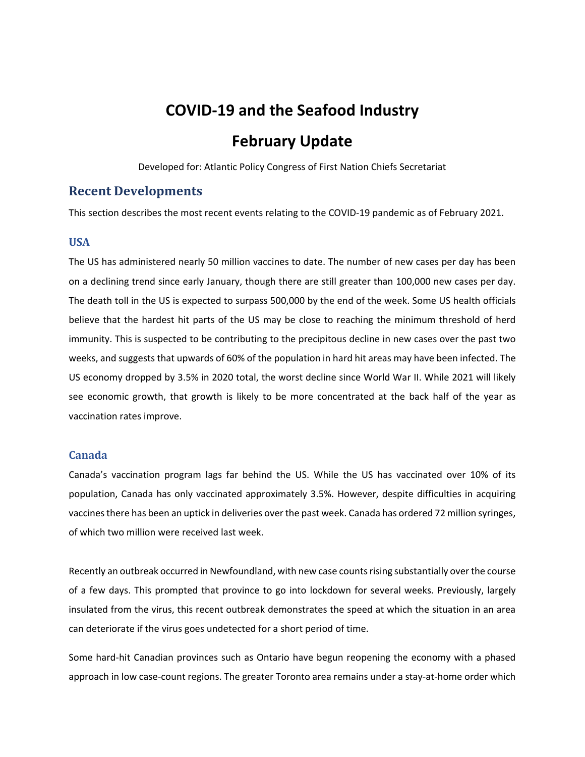# **COVID‐19 and the Seafood Industry February Update**

Developed for: Atlantic Policy Congress of First Nation Chiefs Secretariat

## **Recent Developments**

This section describes the most recent events relating to the COVID‐19 pandemic as of February 2021.

## **USA**

The US has administered nearly 50 million vaccines to date. The number of new cases per day has been on a declining trend since early January, though there are still greater than 100,000 new cases per day. The death toll in the US is expected to surpass 500,000 by the end of the week. Some US health officials believe that the hardest hit parts of the US may be close to reaching the minimum threshold of herd immunity. This is suspected to be contributing to the precipitous decline in new cases over the past two weeks, and suggests that upwards of 60% of the population in hard hit areas may have been infected. The US economy dropped by 3.5% in 2020 total, the worst decline since World War II. While 2021 will likely see economic growth, that growth is likely to be more concentrated at the back half of the year as vaccination rates improve.

## **Canada**

Canada's vaccination program lags far behind the US. While the US has vaccinated over 10% of its population, Canada has only vaccinated approximately 3.5%. However, despite difficulties in acquiring vaccines there has been an uptick in deliveries over the past week. Canada has ordered 72 million syringes, of which two million were received last week.

Recently an outbreak occurred in Newfoundland, with new case counts rising substantially over the course of a few days. This prompted that province to go into lockdown for several weeks. Previously, largely insulated from the virus, this recent outbreak demonstrates the speed at which the situation in an area can deteriorate if the virus goes undetected for a short period of time.

Some hard‐hit Canadian provinces such as Ontario have begun reopening the economy with a phased approach in low case-count regions. The greater Toronto area remains under a stay-at-home order which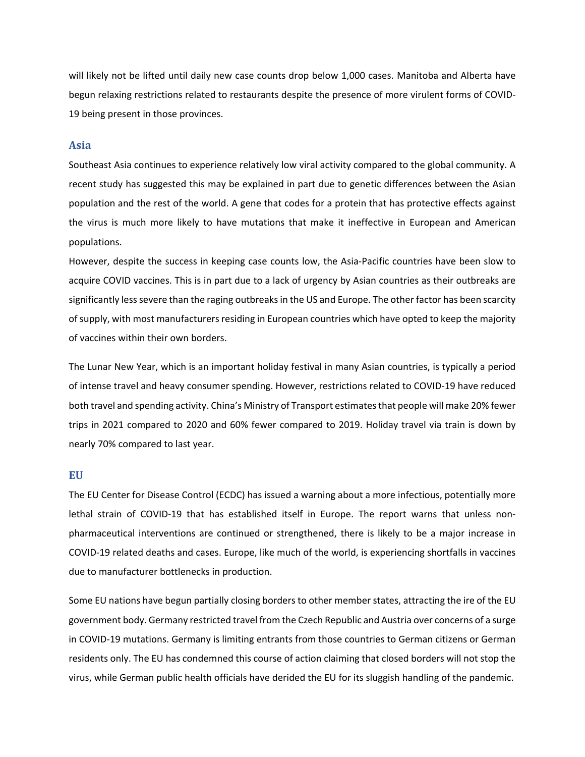will likely not be lifted until daily new case counts drop below 1,000 cases. Manitoba and Alberta have begun relaxing restrictions related to restaurants despite the presence of more virulent forms of COVID‐ 19 being present in those provinces.

#### **Asia**

Southeast Asia continues to experience relatively low viral activity compared to the global community. A recent study has suggested this may be explained in part due to genetic differences between the Asian population and the rest of the world. A gene that codes for a protein that has protective effects against the virus is much more likely to have mutations that make it ineffective in European and American populations.

However, despite the success in keeping case counts low, the Asia‐Pacific countries have been slow to acquire COVID vaccines. This is in part due to a lack of urgency by Asian countries as their outbreaks are significantly less severe than the raging outbreaks in the US and Europe. The other factor has been scarcity of supply, with most manufacturers residing in European countries which have opted to keep the majority of vaccines within their own borders.

The Lunar New Year, which is an important holiday festival in many Asian countries, is typically a period of intense travel and heavy consumer spending. However, restrictions related to COVID‐19 have reduced both travel and spending activity. China's Ministry of Transport estimates that people will make 20% fewer trips in 2021 compared to 2020 and 60% fewer compared to 2019. Holiday travel via train is down by nearly 70% compared to last year.

### **EU**

The EU Center for Disease Control (ECDC) has issued a warning about a more infectious, potentially more lethal strain of COVID-19 that has established itself in Europe. The report warns that unless nonpharmaceutical interventions are continued or strengthened, there is likely to be a major increase in COVID‐19 related deaths and cases. Europe, like much of the world, is experiencing shortfalls in vaccines due to manufacturer bottlenecks in production.

Some EU nations have begun partially closing borders to other member states, attracting the ire of the EU government body. Germany restricted travel from the Czech Republic and Austria over concerns of a surge in COVID‐19 mutations. Germany is limiting entrants from those countries to German citizens or German residents only. The EU has condemned this course of action claiming that closed borders will not stop the virus, while German public health officials have derided the EU for its sluggish handling of the pandemic.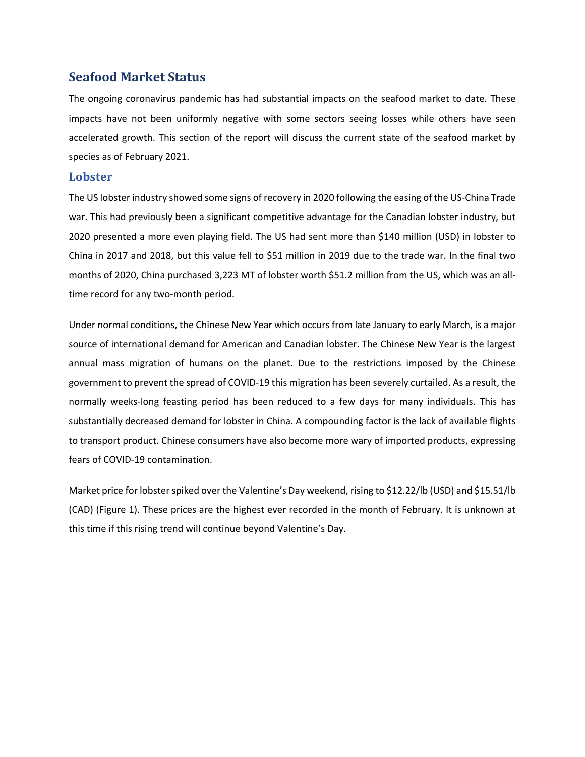# **Seafood Market Status**

The ongoing coronavirus pandemic has had substantial impacts on the seafood market to date. These impacts have not been uniformly negative with some sectors seeing losses while others have seen accelerated growth. This section of the report will discuss the current state of the seafood market by species as of February 2021.

## **Lobster**

The US lobster industry showed some signs of recovery in 2020 following the easing of the US‐China Trade war. This had previously been a significant competitive advantage for the Canadian lobster industry, but 2020 presented a more even playing field. The US had sent more than \$140 million (USD) in lobster to China in 2017 and 2018, but this value fell to \$51 million in 2019 due to the trade war. In the final two months of 2020, China purchased 3,223 MT of lobster worth \$51.2 million from the US, which was an alltime record for any two-month period.

Under normal conditions, the Chinese New Year which occurs from late January to early March, is a major source of international demand for American and Canadian lobster. The Chinese New Year is the largest annual mass migration of humans on the planet. Due to the restrictions imposed by the Chinese government to prevent the spread of COVID‐19 this migration has been severely curtailed. As a result, the normally weeks-long feasting period has been reduced to a few days for many individuals. This has substantially decreased demand for lobster in China. A compounding factor is the lack of available flights to transport product. Chinese consumers have also become more wary of imported products, expressing fears of COVID‐19 contamination.

Market price for lobster spiked over the Valentine's Day weekend, rising to \$12.22/lb (USD) and \$15.51/lb (CAD) (Figure 1). These prices are the highest ever recorded in the month of February. It is unknown at this time if this rising trend will continue beyond Valentine's Day.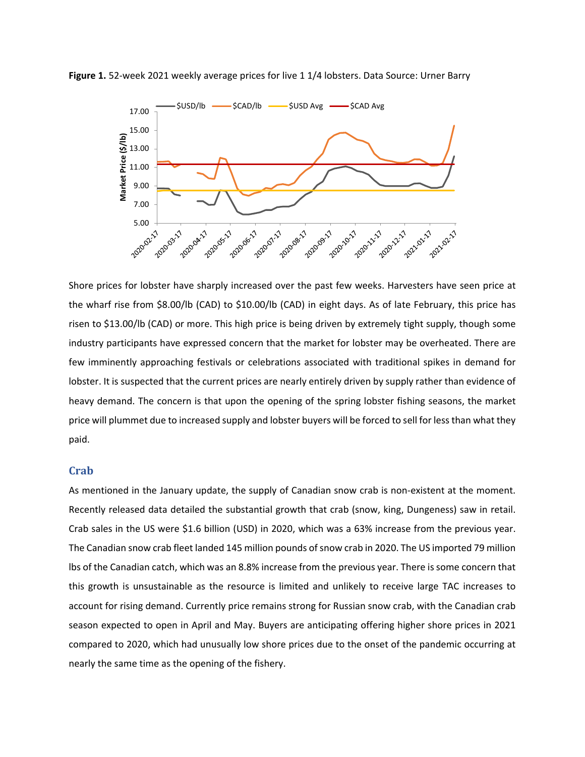

**Figure 1.** 52‐week 2021 weekly average prices for live 1 1/4 lobsters. Data Source: Urner Barry

Shore prices for lobster have sharply increased over the past few weeks. Harvesters have seen price at the wharf rise from \$8.00/lb (CAD) to \$10.00/lb (CAD) in eight days. As of late February, this price has risen to \$13.00/lb (CAD) or more. This high price is being driven by extremely tight supply, though some industry participants have expressed concern that the market for lobster may be overheated. There are few imminently approaching festivals or celebrations associated with traditional spikes in demand for lobster. It is suspected that the current prices are nearly entirely driven by supply rather than evidence of heavy demand. The concern is that upon the opening of the spring lobster fishing seasons, the market price will plummet due to increased supply and lobster buyers will be forced to sell for less than what they paid.

## **Crab**

As mentioned in the January update, the supply of Canadian snow crab is non-existent at the moment. Recently released data detailed the substantial growth that crab (snow, king, Dungeness) saw in retail. Crab sales in the US were \$1.6 billion (USD) in 2020, which was a 63% increase from the previous year. The Canadian snow crab fleet landed 145 million pounds of snow crab in 2020. The US imported 79 million lbs of the Canadian catch, which was an 8.8% increase from the previous year. There is some concern that this growth is unsustainable as the resource is limited and unlikely to receive large TAC increases to account for rising demand. Currently price remains strong for Russian snow crab, with the Canadian crab season expected to open in April and May. Buyers are anticipating offering higher shore prices in 2021 compared to 2020, which had unusually low shore prices due to the onset of the pandemic occurring at nearly the same time as the opening of the fishery.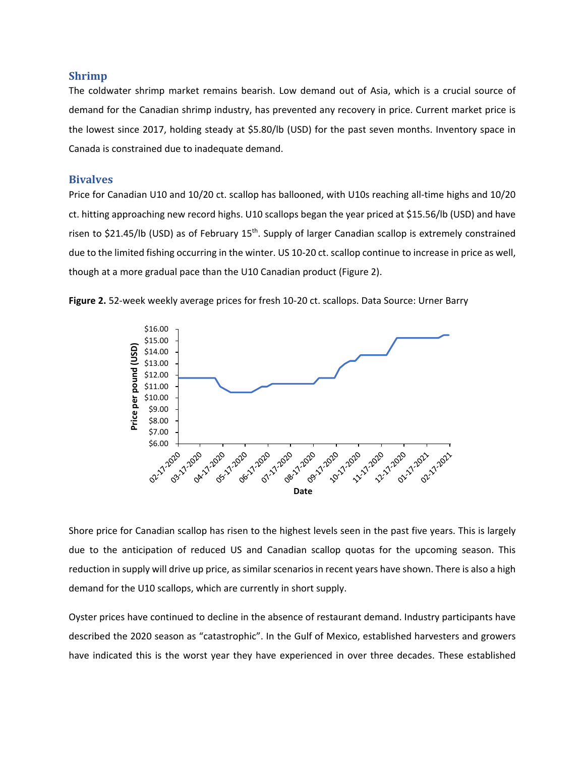### **Shrimp**

The coldwater shrimp market remains bearish. Low demand out of Asia, which is a crucial source of demand for the Canadian shrimp industry, has prevented any recovery in price. Current market price is the lowest since 2017, holding steady at \$5.80/lb (USD) for the past seven months. Inventory space in Canada is constrained due to inadequate demand.

### **Bivalves**

Price for Canadian U10 and 10/20 ct. scallop has ballooned, with U10s reaching all‐time highs and 10/20 ct. hitting approaching new record highs. U10 scallops began the year priced at \$15.56/lb (USD) and have risen to \$21.45/lb (USD) as of February 15<sup>th</sup>. Supply of larger Canadian scallop is extremely constrained due to the limited fishing occurring in the winter. US 10‐20 ct. scallop continue to increase in price as well, though at a more gradual pace than the U10 Canadian product (Figure 2).





Shore price for Canadian scallop has risen to the highest levels seen in the past five years. This is largely due to the anticipation of reduced US and Canadian scallop quotas for the upcoming season. This reduction in supply will drive up price, as similar scenarios in recent years have shown. There is also a high demand for the U10 scallops, which are currently in short supply.

Oyster prices have continued to decline in the absence of restaurant demand. Industry participants have described the 2020 season as "catastrophic". In the Gulf of Mexico, established harvesters and growers have indicated this is the worst year they have experienced in over three decades. These established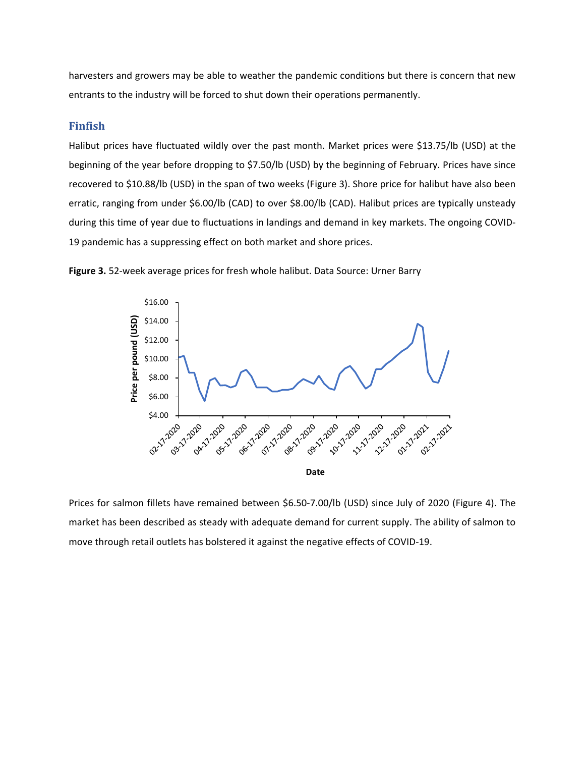harvesters and growers may be able to weather the pandemic conditions but there is concern that new entrants to the industry will be forced to shut down their operations permanently.

## **Finfish**

Halibut prices have fluctuated wildly over the past month. Market prices were \$13.75/lb (USD) at the beginning of the year before dropping to \$7.50/lb (USD) by the beginning of February. Prices have since recovered to \$10.88/lb (USD) in the span of two weeks (Figure 3). Shore price for halibut have also been erratic, ranging from under \$6.00/lb (CAD) to over \$8.00/lb (CAD). Halibut prices are typically unsteady during this time of year due to fluctuations in landings and demand in key markets. The ongoing COVID‐ 19 pandemic has a suppressing effect on both market and shore prices.





Prices for salmon fillets have remained between \$6.50‐7.00/lb (USD) since July of 2020 (Figure 4). The market has been described as steady with adequate demand for current supply. The ability of salmon to move through retail outlets has bolstered it against the negative effects of COVID‐19.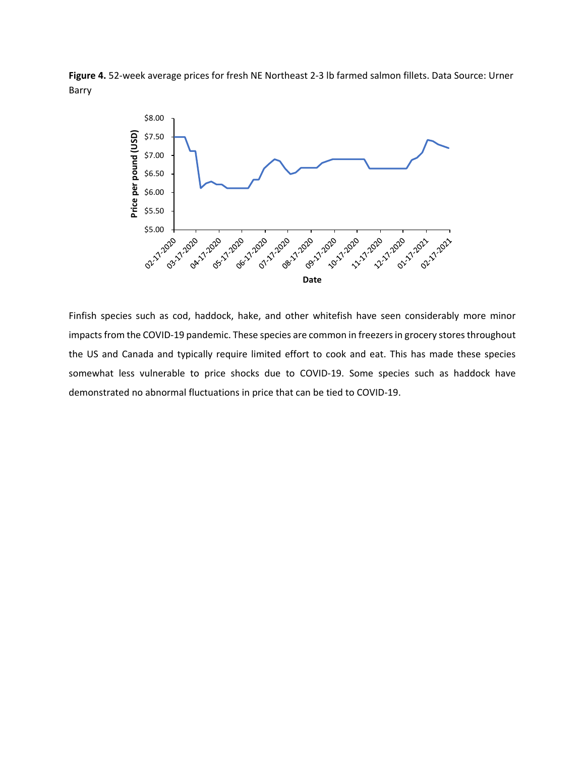**Figure 4.** 52‐week average prices for fresh NE Northeast 2‐3 lb farmed salmon fillets. Data Source: Urner Barry



Finfish species such as cod, haddock, hake, and other whitefish have seen considerably more minor impacts from the COVID‐19 pandemic. These species are common in freezers in grocery stores throughout the US and Canada and typically require limited effort to cook and eat. This has made these species somewhat less vulnerable to price shocks due to COVID-19. Some species such as haddock have demonstrated no abnormal fluctuations in price that can be tied to COVID‐19.